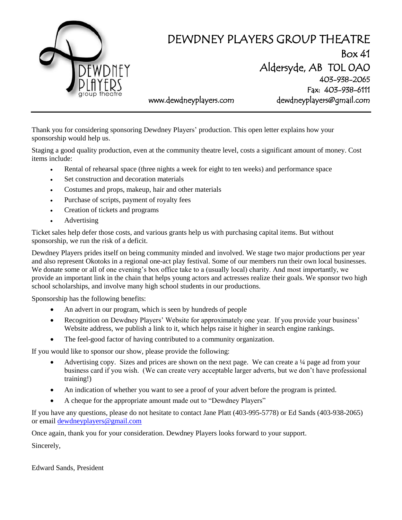

## DEWDNEY PLAYERS GROUP THEATRE Box 41 Aldersyde, AB T0L 0A0 403-938-2065 Fax: 403-938-6111 [www.dewdneyplayers.com](http://www.dewdneyplayers.com/) dewdneyplayers@gmail.com

Thank you for considering sponsoring Dewdney Players' production. This open letter explains how your sponsorship would help us.

Staging a good quality production, even at the community theatre level, costs a significant amount of money. Cost items include:

- Rental of rehearsal space (three nights a week for eight to ten weeks) and performance space
- Set construction and decoration materials
- Costumes and props, makeup, hair and other materials
- Purchase of scripts, payment of royalty fees
- Creation of tickets and programs
- Advertising

Ticket sales help defer those costs, and various grants help us with purchasing capital items. But without sponsorship, we run the risk of a deficit.

Dewdney Players prides itself on being community minded and involved. We stage two major productions per year and also represent Okotoks in a regional one-act play festival. Some of our members run their own local businesses. We donate some or all of one evening's box office take to a (usually local) charity. And most importantly, we provide an important link in the chain that helps young actors and actresses realize their goals. We sponsor two high school scholarships, and involve many high school students in our productions.

Sponsorship has the following benefits:

- An advert in our program, which is seen by hundreds of people
- Recognition on Dewdney Players' Website for approximately one year. If you provide your business' Website address, we publish a link to it, which helps raise it higher in search engine rankings.
- The feel-good factor of having contributed to a community organization.

If you would like to sponsor our show, please provide the following:

- Advertising copy. Sizes and prices are shown on the next page. We can create a ¼ page ad from your business card if you wish. (We can create very acceptable larger adverts, but we don't have professional training!)
- An indication of whether you want to see a proof of your advert before the program is printed.
- A cheque for the appropriate amount made out to "Dewdney Players"

If you have any questions, please do not hesitate to contact Jane Platt (403-995-5778) or Ed Sands (403-938-2065) or email [dewdneyplayers@gmail.com](mailto:dewdneyplayers@gmail.com)

Once again, thank you for your consideration. Dewdney Players looks forward to your support.

Sincerely,

Edward Sands, President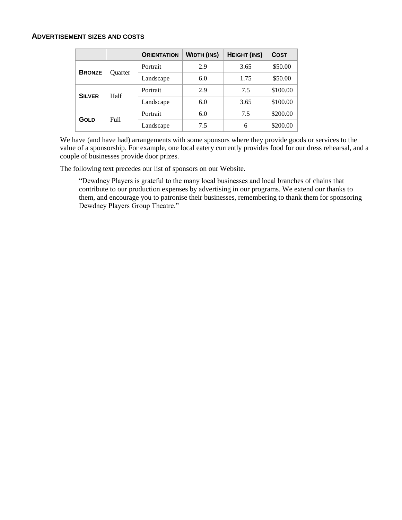## **ADVERTISEMENT SIZES AND COSTS**

|               |                | <b>ORIENTATION</b> | <b>WIDTH (INS)</b> | <b>HEIGHT (INS)</b> | <b>COST</b> |
|---------------|----------------|--------------------|--------------------|---------------------|-------------|
| <b>BRONZE</b> | <b>Ouarter</b> | Portrait           | 2.9                | 3.65                | \$50.00     |
|               |                | Landscape          | 6.0                | 1.75                | \$50.00     |
| <b>SILVER</b> | Half           | Portrait           | 2.9                | 7.5                 | \$100.00    |
|               |                | Landscape          | 6.0                | 3.65                | \$100.00    |
| Gold          | Full           | Portrait           | 6.0                | 7.5                 | \$200.00    |
|               |                | Landscape          | 7.5                | 6                   | \$200.00    |

We have (and have had) arrangements with some sponsors where they provide goods or services to the value of a sponsorship. For example, one local eatery currently provides food for our dress rehearsal, and a couple of businesses provide door prizes.

The following text precedes our list of sponsors on our Website.

"Dewdney Players is grateful to the many local businesses and local branches of chains that contribute to our production expenses by advertising in our programs. We extend our thanks to them, and encourage you to patronise their businesses, remembering to thank them for sponsoring Dewdney Players Group Theatre."